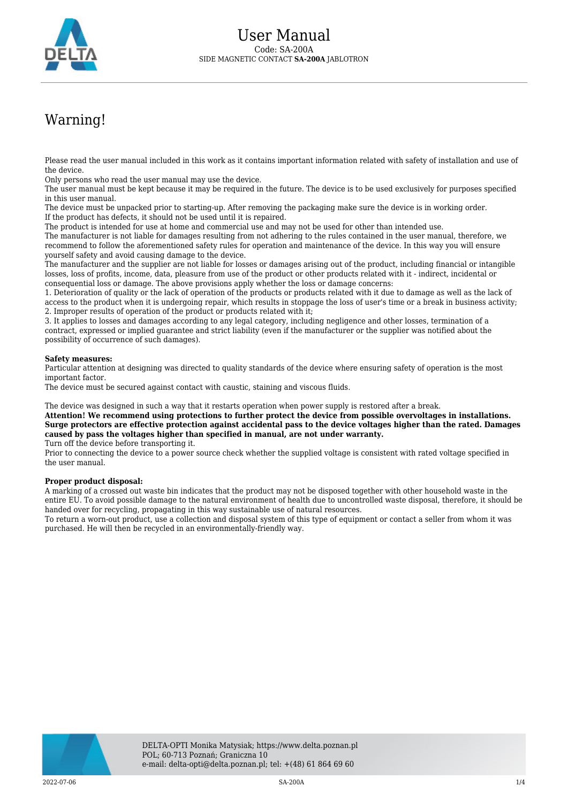

## Warning!

Please read the user manual included in this work as it contains important information related with safety of installation and use of the device.

Only persons who read the user manual may use the device.

The user manual must be kept because it may be required in the future. The device is to be used exclusively for purposes specified in this user manual.

The device must be unpacked prior to starting-up. After removing the packaging make sure the device is in working order. If the product has defects, it should not be used until it is repaired.

The product is intended for use at home and commercial use and may not be used for other than intended use.

The manufacturer is not liable for damages resulting from not adhering to the rules contained in the user manual, therefore, we recommend to follow the aforementioned safety rules for operation and maintenance of the device. In this way you will ensure yourself safety and avoid causing damage to the device.

The manufacturer and the supplier are not liable for losses or damages arising out of the product, including financial or intangible losses, loss of profits, income, data, pleasure from use of the product or other products related with it - indirect, incidental or consequential loss or damage. The above provisions apply whether the loss or damage concerns:

1. Deterioration of quality or the lack of operation of the products or products related with it due to damage as well as the lack of access to the product when it is undergoing repair, which results in stoppage the loss of user's time or a break in business activity; 2. Improper results of operation of the product or products related with it;

3. It applies to losses and damages according to any legal category, including negligence and other losses, termination of a contract, expressed or implied guarantee and strict liability (even if the manufacturer or the supplier was notified about the possibility of occurrence of such damages).

## **Safety measures:**

Particular attention at designing was directed to quality standards of the device where ensuring safety of operation is the most important factor.

The device must be secured against contact with caustic, staining and viscous fluids.

The device was designed in such a way that it restarts operation when power supply is restored after a break.

**Attention! We recommend using protections to further protect the device from possible overvoltages in installations. Surge protectors are effective protection against accidental pass to the device voltages higher than the rated. Damages caused by pass the voltages higher than specified in manual, are not under warranty.**

Turn off the device before transporting it.

Prior to connecting the device to a power source check whether the supplied voltage is consistent with rated voltage specified in the user manual.

## **Proper product disposal:**

A marking of a crossed out waste bin indicates that the product may not be disposed together with other household waste in the entire EU. To avoid possible damage to the natural environment of health due to uncontrolled waste disposal, therefore, it should be handed over for recycling, propagating in this way sustainable use of natural resources.

To return a worn-out product, use a collection and disposal system of this type of equipment or contact a seller from whom it was purchased. He will then be recycled in an environmentally-friendly way.

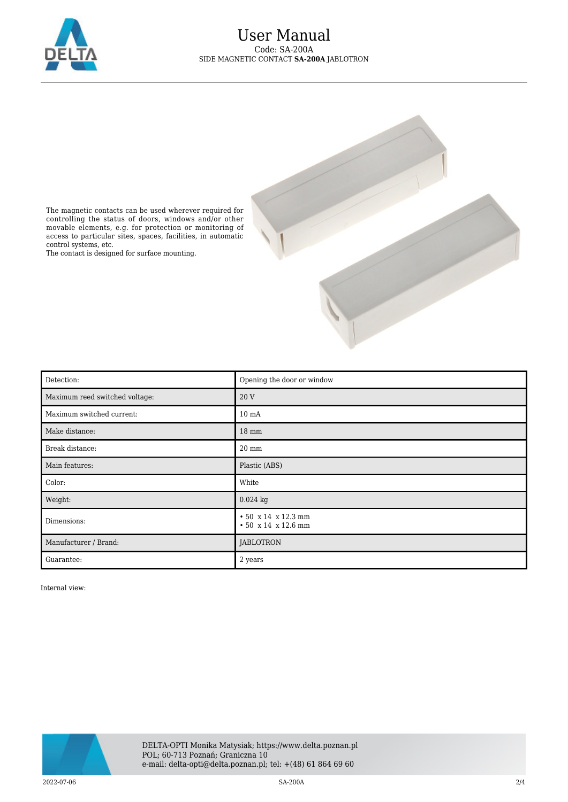



The magnetic contacts can be used wherever required for controlling the status of doors, windows and/or other movable elements, e.g. for protection or monitoring of access to particular sites, spaces, facilities, in automatic control systems, etc.

The contact is designed for surface mounting.

| Detection:                          | Opening the door or window                 |
|-------------------------------------|--------------------------------------------|
| Maximum reed switched voltage:<br>ı | 20 V                                       |
| Maximum switched current:           | 10 <sub>mA</sub>                           |
| Make distance:                      | 18 mm                                      |
| Break distance:                     | $20 \text{ mm}$                            |
| Main features:                      | Plastic (ABS)                              |
| Color:                              | White                                      |
| Weight:                             | $0.024$ kg                                 |
| Dimensions:                         | • 50 x 14 x 12.3 mm<br>• 50 x 14 x 12.6 mm |
| Manufacturer / Brand:               | <b>JABLOTRON</b>                           |
| Guarantee:                          | 2 years                                    |

Internal view:

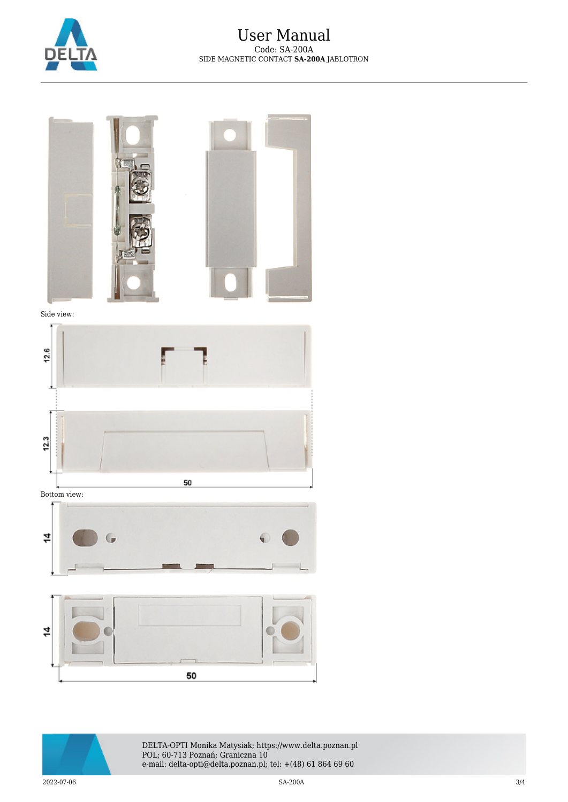



Side view:



Bottom view: 4 G G





DELTA-OPTI Monika Matysiak; https://www.delta.poznan.pl POL; 60-713 Poznań; Graniczna 10 e-mail: delta-opti@delta.poznan.pl; tel: +(48) 61 864 69 60

 $2022-07-06$  3/4